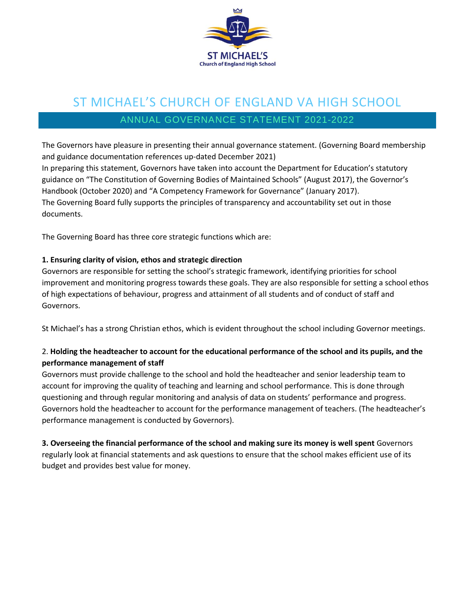

# ST MICHAEL'S CHURCH OF ENGLAND VA HIGH SCHOOL

## ANNUAL GOVERNANCE STATEMENT 2021-2022

The Governors have pleasure in presenting their annual governance statement. (Governing Board membership and guidance documentation references up-dated December 2021) In preparing this statement, Governors have taken into account the Department for Education's statutory guidance on "The Constitution of Governing Bodies of Maintained Schools" (August 2017), the Governor's Handbook (October 2020) and "A Competency Framework for Governance" (January 2017). The Governing Board fully supports the principles of transparency and accountability set out in those documents.

The Governing Board has three core strategic functions which are:

#### **1. Ensuring clarity of vision, ethos and strategic direction**

Governors are responsible for setting the school's strategic framework, identifying priorities for school improvement and monitoring progress towards these goals. They are also responsible for setting a school ethos of high expectations of behaviour, progress and attainment of all students and of conduct of staff and Governors.

St Michael's has a strong Christian ethos, which is evident throughout the school including Governor meetings.

#### 2. **Holding the headteacher to account for the educational performance of the school and its pupils, and the performance management of staff**

Governors must provide challenge to the school and hold the headteacher and senior leadership team to account for improving the quality of teaching and learning and school performance. This is done through questioning and through regular monitoring and analysis of data on students' performance and progress. Governors hold the headteacher to account for the performance management of teachers. (The headteacher's performance management is conducted by Governors).

**3. Overseeing the financial performance of the school and making sure its money is well spent** Governors regularly look at financial statements and ask questions to ensure that the school makes efficient use of its budget and provides best value for money.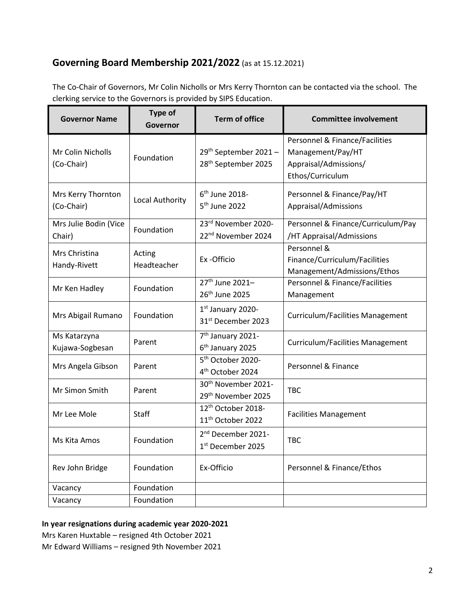### **Governing Board Membership 2021/2022** (as at 15.12.2021)

The Co-Chair of Governors, Mr Colin Nicholls or Mrs Kerry Thornton can be contacted via the school. The clerking service to the Governors is provided by SIPS Education.

| <b>Governor Name</b>             | <b>Type of</b><br>Governor | <b>Term of office</b>                                               | <b>Committee involvement</b>                                                                                |
|----------------------------------|----------------------------|---------------------------------------------------------------------|-------------------------------------------------------------------------------------------------------------|
| Mr Colin Nicholls<br>(Co-Chair)  | Foundation                 | 29 <sup>th</sup> September 2021-<br>28 <sup>th</sup> September 2025 | <b>Personnel &amp; Finance/Facilities</b><br>Management/Pay/HT<br>Appraisal/Admissions/<br>Ethos/Curriculum |
| Mrs Kerry Thornton<br>(Co-Chair) | Local Authority            | 6 <sup>th</sup> June 2018-<br>5 <sup>th</sup> June 2022             | Personnel & Finance/Pay/HT<br>Appraisal/Admissions                                                          |
| Mrs Julie Bodin (Vice<br>Chair)  | Foundation                 | 23rd November 2020-<br>22 <sup>nd</sup> November 2024               | Personnel & Finance/Curriculum/Pay<br>/HT Appraisal/Admissions                                              |
| Mrs Christina<br>Handy-Rivett    | Acting<br>Headteacher      | Ex-Officio                                                          | Personnel &<br>Finance/Curriculum/Facilities<br>Management/Admissions/Ethos                                 |
| Mr Ken Hadley                    | Foundation                 | 27 <sup>th</sup> June 2021-<br>26 <sup>th</sup> June 2025           | <b>Personnel &amp; Finance/Facilities</b><br>Management                                                     |
| Mrs Abigail Rumano               | Foundation                 | 1st January 2020-<br>31st December 2023                             | <b>Curriculum/Facilities Management</b>                                                                     |
| Ms Katarzyna<br>Kujawa-Sogbesan  | Parent                     | 7 <sup>th</sup> January 2021-<br>6 <sup>th</sup> January 2025       | <b>Curriculum/Facilities Management</b>                                                                     |
| Mrs Angela Gibson                | Parent                     | 5 <sup>th</sup> October 2020-<br>4 <sup>th</sup> October 2024       | Personnel & Finance                                                                                         |
| Mr Simon Smith                   | Parent                     | 30 <sup>th</sup> November 2021-<br>29th November 2025               | <b>TBC</b>                                                                                                  |
| Mr Lee Mole                      | Staff                      | 12th October 2018-<br>11 <sup>th</sup> October 2022                 | <b>Facilities Management</b>                                                                                |
| Ms Kita Amos                     | Foundation                 | 2 <sup>nd</sup> December 2021-<br>1st December 2025                 | <b>TBC</b>                                                                                                  |
| Rev John Bridge                  | Foundation                 | Ex-Officio                                                          | Personnel & Finance/Ethos                                                                                   |
| Vacancy                          | Foundation                 |                                                                     |                                                                                                             |
| Vacancy                          | Foundation                 |                                                                     |                                                                                                             |

#### **In year resignations during academic year 2020-2021**

Mrs Karen Huxtable – resigned 4th October 2021 Mr Edward Williams – resigned 9th November 2021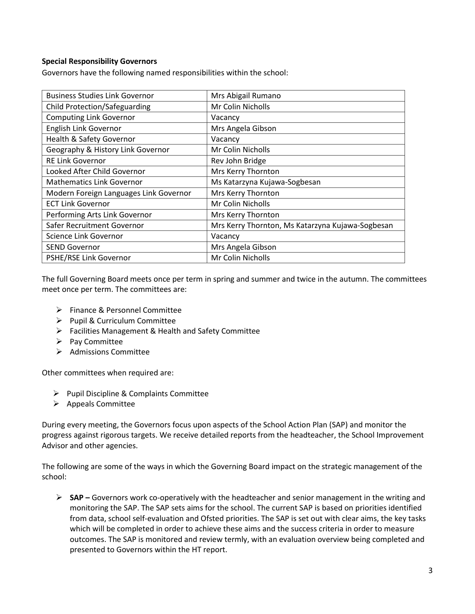#### **Special Responsibility Governors**

Governors have the following named responsibilities within the school:

| <b>Business Studies Link Governor</b>  | Mrs Abigail Rumano                               |  |
|----------------------------------------|--------------------------------------------------|--|
| Child Protection/Safeguarding          | Mr Colin Nicholls                                |  |
| <b>Computing Link Governor</b>         | Vacancy                                          |  |
| English Link Governor                  | Mrs Angela Gibson                                |  |
| Health & Safety Governor               | Vacancy                                          |  |
| Geography & History Link Governor      | Mr Colin Nicholls                                |  |
| <b>RE Link Governor</b>                | Rev John Bridge                                  |  |
| Looked After Child Governor            | Mrs Kerry Thornton                               |  |
| <b>Mathematics Link Governor</b>       | Ms Katarzyna Kujawa-Sogbesan                     |  |
| Modern Foreign Languages Link Governor | Mrs Kerry Thornton                               |  |
| <b>ECT Link Governor</b>               | Mr Colin Nicholls                                |  |
| Performing Arts Link Governor          | Mrs Kerry Thornton                               |  |
| Safer Recruitment Governor             | Mrs Kerry Thornton, Ms Katarzyna Kujawa-Sogbesan |  |
| Science Link Governor                  | Vacancy                                          |  |
| <b>SEND Governor</b>                   | Mrs Angela Gibson                                |  |
| PSHE/RSE Link Governor                 | Mr Colin Nicholls                                |  |

The full Governing Board meets once per term in spring and summer and twice in the autumn. The committees meet once per term. The committees are:

- ▶ Finance & Personnel Committee
- $\triangleright$  Pupil & Curriculum Committee
- Facilities Management & Health and Safety Committee
- $\triangleright$  Pay Committee
- $\triangleright$  Admissions Committee

Other committees when required are:

- $\triangleright$  Pupil Discipline & Complaints Committee
- $\triangleright$  Appeals Committee

During every meeting, the Governors focus upon aspects of the School Action Plan (SAP) and monitor the progress against rigorous targets. We receive detailed reports from the headteacher, the School Improvement Advisor and other agencies.

The following are some of the ways in which the Governing Board impact on the strategic management of the school:

 **SAP –** Governors work co-operatively with the headteacher and senior management in the writing and monitoring the SAP. The SAP sets aims for the school. The current SAP is based on priorities identified from data, school self-evaluation and Ofsted priorities. The SAP is set out with clear aims, the key tasks which will be completed in order to achieve these aims and the success criteria in order to measure outcomes. The SAP is monitored and review termly, with an evaluation overview being completed and presented to Governors within the HT report.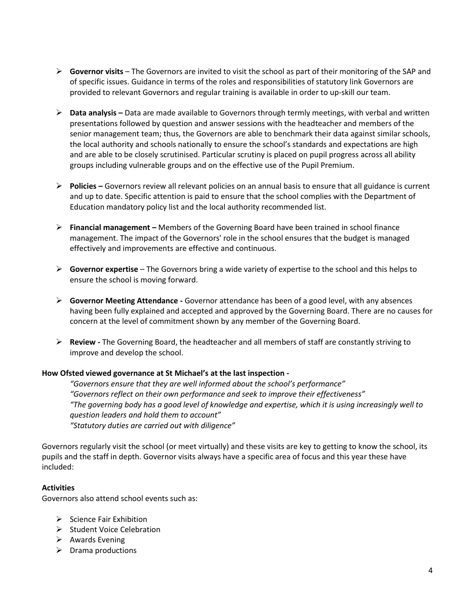- **Governor visits** The Governors are invited to visit the school as part of their monitoring of the SAP and of specific issues. Guidance in terms of the roles and responsibilities of statutory link Governors are provided to relevant Governors and regular training is available in order to up-skill our team.
- **Data analysis –** Data are made available to Governors through termly meetings, with verbal and written presentations followed by question and answer sessions with the headteacher and members of the senior management team; thus, the Governors are able to benchmark their data against similar schools, the local authority and schools nationally to ensure the school's standards and expectations are high and are able to be closely scrutinised. Particular scrutiny is placed on pupil progress across all ability groups including vulnerable groups and on the effective use of the Pupil Premium.
- **Policies –** Governors review all relevant policies on an annual basis to ensure that all guidance is current and up to date. Specific attention is paid to ensure that the school complies with the Department of Education mandatory policy list and the local authority recommended list.
- **Financial management –** Members of the Governing Board have been trained in school finance management. The impact of the Governors' role in the school ensures that the budget is managed effectively and improvements are effective and continuous.
- **Governor expertise** The Governors bring a wide variety of expertise to the school and this helps to ensure the school is moving forward.
- **Governor Meeting Attendance -** Governor attendance has been of a good level, with any absences having been fully explained and accepted and approved by the Governing Board. There are no causes for concern at the level of commitment shown by any member of the Governing Board.
- **Review -** The Governing Board, the headteacher and all members of staff are constantly striving to improve and develop the school.

#### **How Ofsted viewed governance at St Michael's at the last inspection -**

*"Governors ensure that they are well informed about the school's performance" "Governors reflect on their own performance and seek to improve their effectiveness" "The governing body has a good level of knowledge and expertise, which it is using increasingly well to question leaders and hold them to account" "Statutory duties are carried out with diligence"*

Governors regularly visit the school (or meet virtually) and these visits are key to getting to know the school, its pupils and the staff in depth. Governor visits always have a specific area of focus and this year these have included:

#### **Activities**

Governors also attend school events such as:

- $\triangleright$  Science Fair Exhibition
- $\triangleright$  Student Voice Celebration
- $\triangleright$  Awards Evening
- $\triangleright$  Drama productions